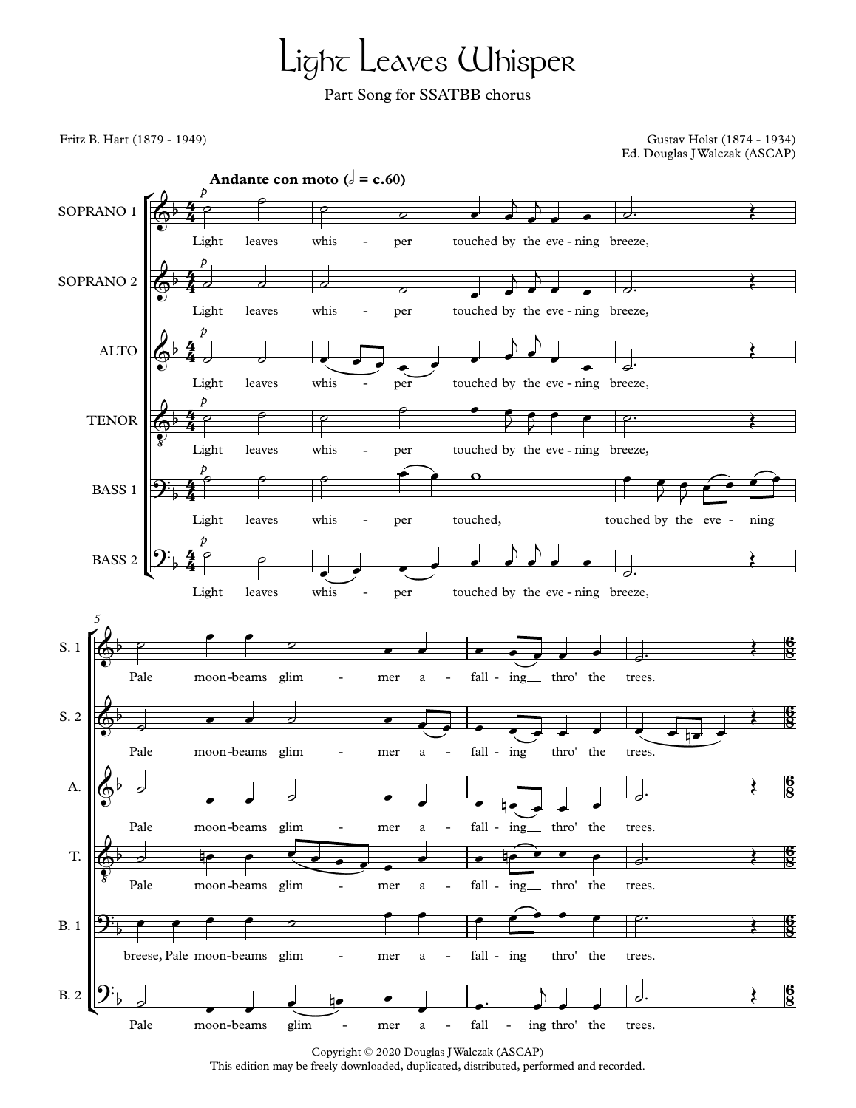## Light Leaves Whisper

Part Song for SSATBB chorus

Fritz B. Hart (1879 - 1949) Gustav Holst (1874 - 1934) Ed. Douglas JWalczak (ASCAP)



Copyright © 2020 Douglas JWalczak (ASCAP) This edition may be freely downloaded, duplicated, distributed, performed and recorded.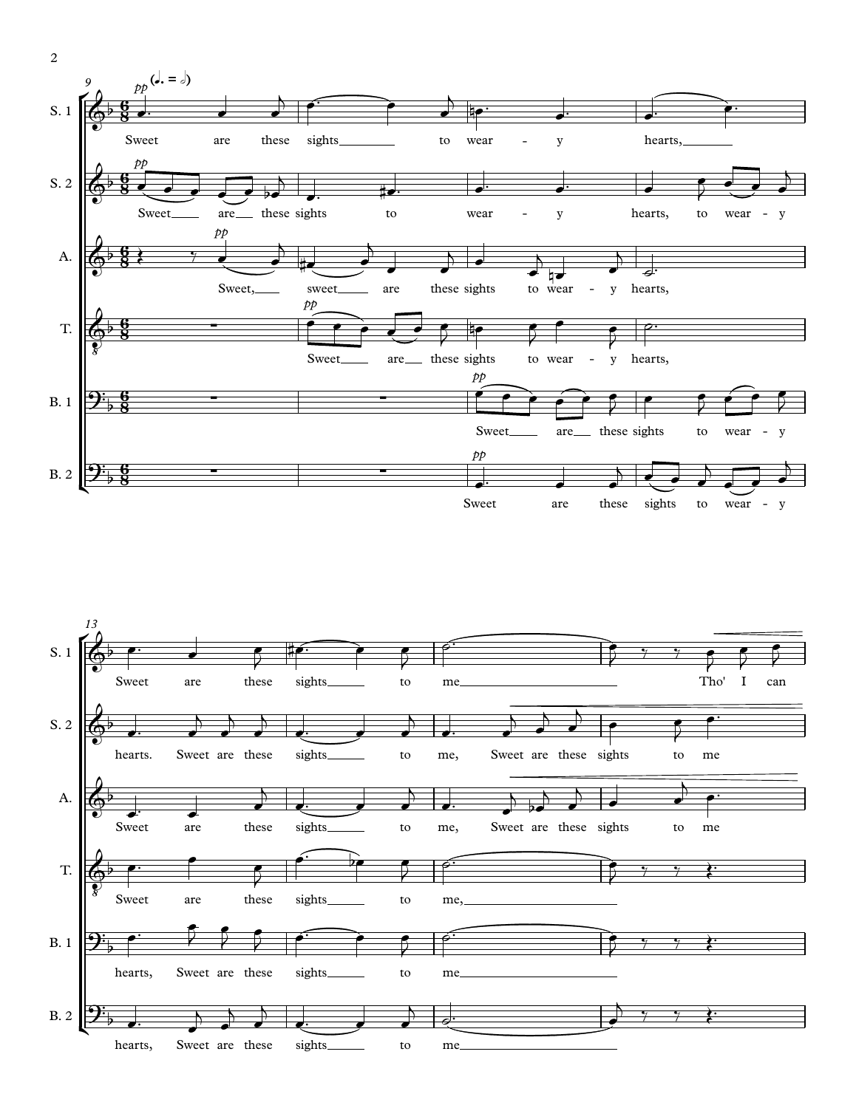



2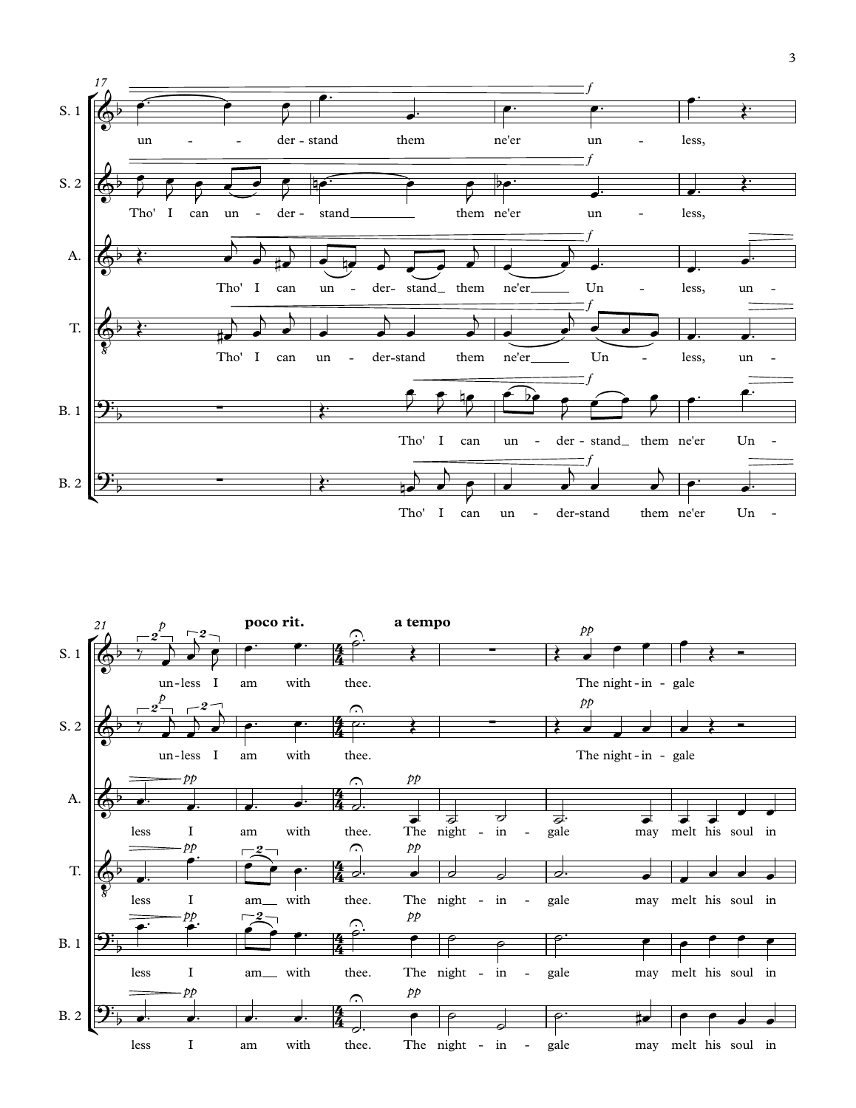

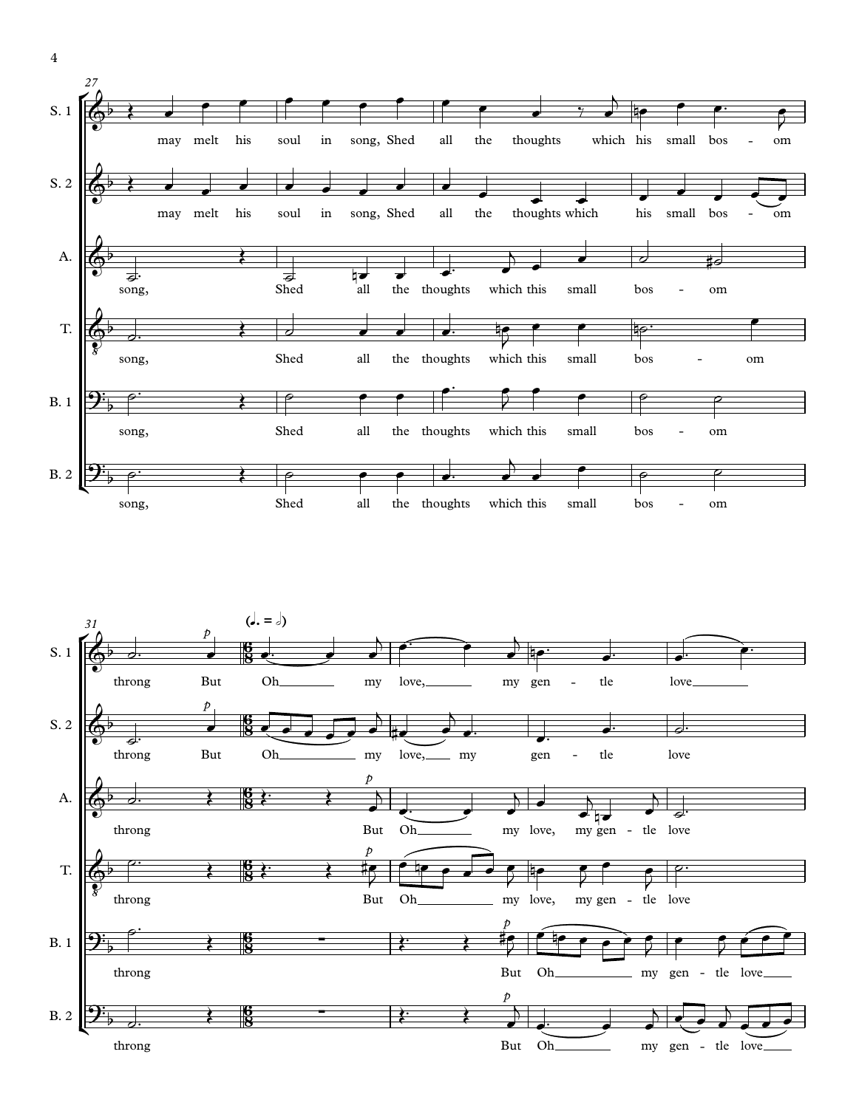



4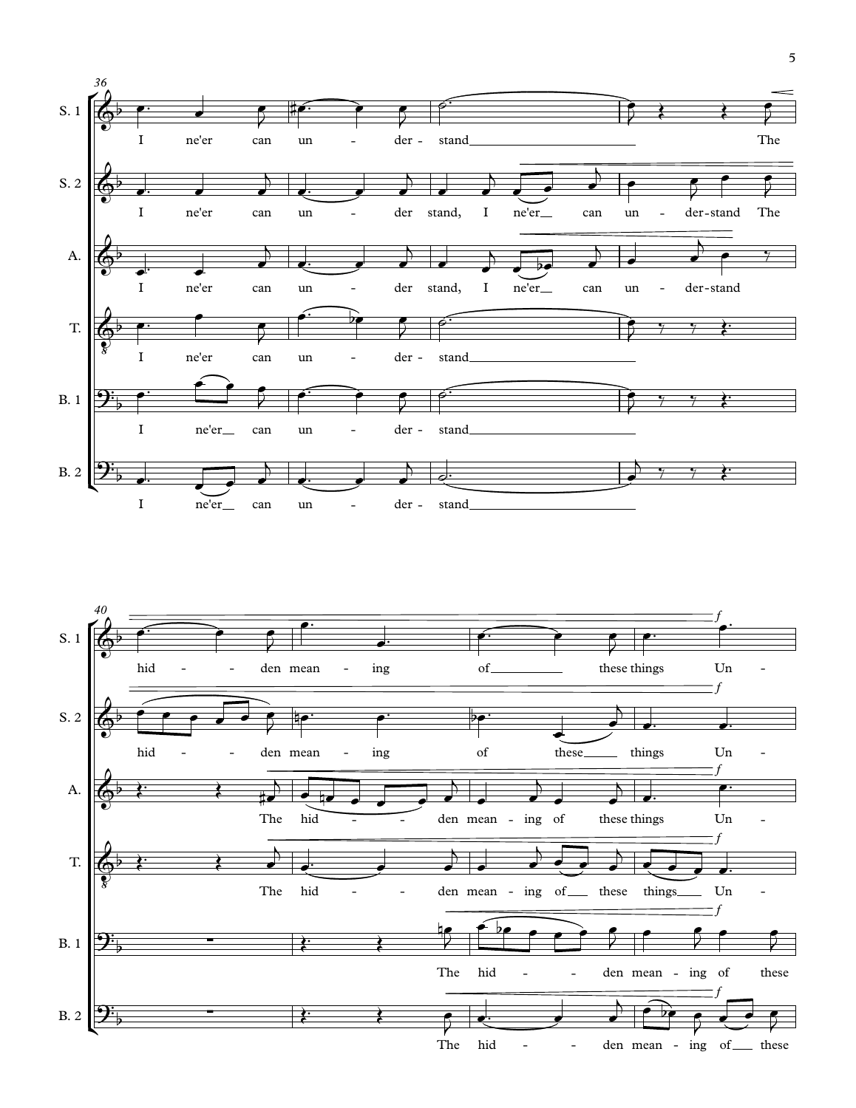